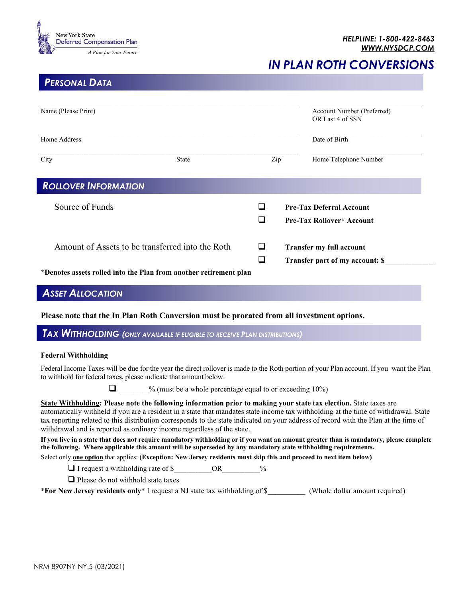

*IN PLAN ROTH CONVERSIONS*

## *PERSONAL DATA*

| Name (Please Print)                                               |              |        | Account Number (Preferred)<br>OR Last 4 of SSN |                                                                     |
|-------------------------------------------------------------------|--------------|--------|------------------------------------------------|---------------------------------------------------------------------|
| Home Address                                                      |              |        |                                                | Date of Birth                                                       |
| City                                                              | <b>State</b> | Zip    |                                                | Home Telephone Number                                               |
| <b>ROLLOVER INFORMATION</b>                                       |              |        |                                                |                                                                     |
| Source of Funds                                                   |              | ப<br>┚ |                                                | <b>Pre-Tax Deferral Account</b><br><b>Pre-Tax Rollover* Account</b> |
| Amount of Assets to be transferred into the Roth                  |              | ப<br>┚ |                                                | Transfer my full account<br>Transfer part of my account: \$         |
| *Denotes assets rolled into the Plan from another retirement plan |              |        |                                                |                                                                     |

## *ASSET ALLOCATION*

**Please note that the In Plan Roth Conversion must be prorated from all investment options.**

*TAX WITHHOLDING (ONLY AVAILABLE IF ELIGIBLE TO RECEIVE PLAN DISTRIBUTIONS)*

## **Federal Withholding**

Federal Income Taxes will be due for the year the direct rollover is made to the Roth portion of your Plan account. If you want the Plan to withhold for federal taxes, please indicate that amount below:

 $\Box$  % (must be a whole percentage equal to or exceeding 10%)

**State Withholding: Please note the following information prior to making your state tax election.** State taxes are automatically withheld if you are a resident in a state that mandates state income tax withholding at the time of withdrawal. State tax reporting related to this distribution corresponds to the state indicated on your address of record with the Plan at the time of withdrawal and is reported as ordinary income regardless of the state.

**If you live in a state that does not require mandatory withholding or if you want an amount greater than is mandatory, please complete the following. Where applicable this amount will be superseded by any mandatory state withholding requirements.**

Select only **one option** that applies: **(Exception: New Jersey residents must skip this and proceed to next item below)**

 $\Box$  I request a withholding rate of \$  $\Box$  OR  $\%$ 

 $\Box$  Please do not withhold state taxes

\***For New Jersey residents only**\* I request a NJ state tax withholding of \$\_\_\_\_\_\_\_\_\_\_ (Whole dollar amount required)